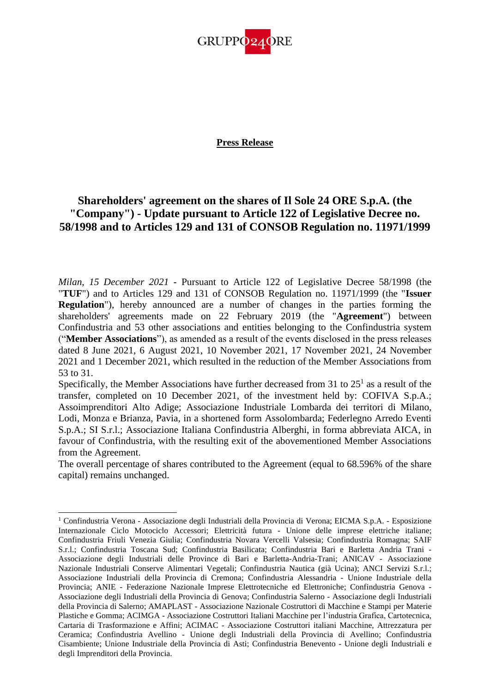

## **Press Release**

## **Shareholders' agreement on the shares of Il Sole 24 ORE S.p.A. (the "Company") - Update pursuant to Article 122 of Legislative Decree no. 58/1998 and to Articles 129 and 131 of CONSOB Regulation no. 11971/1999**

*Milan, 15 December 2021* - Pursuant to Article 122 of Legislative Decree 58/1998 (the "**TUF**") and to Articles 129 and 131 of CONSOB Regulation no. 11971/1999 (the "**Issuer Regulation**"), hereby announced are a number of changes in the parties forming the shareholders' agreements made on 22 February 2019 (the "**Agreement**") between Confindustria and 53 other associations and entities belonging to the Confindustria system ("**Member Associations**"), as amended as a result of the events disclosed in the press releases dated 8 June 2021, 6 August 2021, 10 November 2021, 17 November 2021, 24 November 2021 and 1 December 2021, which resulted in the reduction of the Member Associations from 53 to 31.

Specifically, the Member Associations have further decreased from 31 to  $25<sup>1</sup>$  as a result of the transfer, completed on 10 December 2021, of the investment held by: COFIVA S.p.A.; Assoimprenditori Alto Adige; Associazione Industriale Lombarda dei territori di Milano, Lodi, Monza e Brianza, Pavia, in a shortened form Assolombarda; Federlegno Arredo Eventi S.p.A.; SI S.r.l.; Associazione Italiana Confindustria Alberghi, in forma abbreviata AICA, in favour of Confindustria, with the resulting exit of the abovementioned Member Associations from the Agreement.

The overall percentage of shares contributed to the Agreement (equal to 68.596% of the share capital) remains unchanged.

<sup>1</sup> Confindustria Verona - Associazione degli Industriali della Provincia di Verona; EICMA S.p.A. - Esposizione Internazionale Ciclo Motociclo Accessori; Elettricità futura - Unione delle imprese elettriche italiane; Confindustria Friuli Venezia Giulia; Confindustria Novara Vercelli Valsesia; Confindustria Romagna; SAIF S.r.l.; Confindustria Toscana Sud; Confindustria Basilicata; Confindustria Bari e Barletta Andria Trani - Associazione degli Industriali delle Province di Bari e Barletta-Andria-Trani; ANICAV - Associazione Nazionale Industriali Conserve Alimentari Vegetali; Confindustria Nautica (già Ucina); ANCI Servizi S.r.l.; Associazione Industriali della Provincia di Cremona; Confindustria Alessandria - Unione Industriale della Provincia; ANIE - Federazione Nazionale Imprese Elettrotecniche ed Elettroniche; Confindustria Genova - Associazione degli Industriali della Provincia di Genova; Confindustria Salerno - Associazione degli Industriali della Provincia di Salerno; AMAPLAST - Associazione Nazionale Costruttori di Macchine e Stampi per Materie Plastiche e Gomma; ACIMGA - Associazione Costruttori Italiani Macchine per l'industria Grafica, Cartotecnica, Cartaria di Trasformazione e Affini; ACIMAC - Associazione Costruttori italiani Macchine, Attrezzatura per Ceramica; Confindustria Avellino - Unione degli Industriali della Provincia di Avellino; Confindustria Cisambiente; Unione Industriale della Provincia di Asti; Confindustria Benevento - Unione degli Industriali e degli Imprenditori della Provincia.